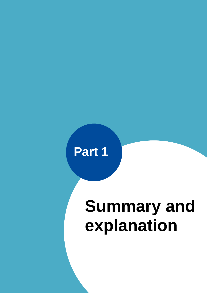

 $A$  and additional copy if  $A$  and additional copy if  $A$  and additional copy if  $A$ 

# **Summary and explanation**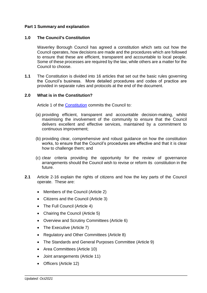## **Part 1 Summary and explanation**

## **1.0 The Council's Constitution**

Waverley Borough Council has agreed a constitution which sets out how the Council operates, how decisions are made and the procedures which are followed to ensure that these are efficient, transparent and accountable to local people. Some of these processes are required by the law, while others are a matter for the Council to choose.

**1.1** The Constitution is divided into 16 articles that set out the basic rules governing the Council's business. More detailed procedures and codes of practice are provided in separate rules and protocols at the end of the document.

## **2.0 What is in the Constitution?**

Article 1 of the [Constitution](../../../../5/6/5/AI00019565/Part2ArticlesoftheConstitutionFeb2019.docx) commits the Council to:

- (a) providing efficient, transparent and accountable decision-making, whilst maximising the involvement of the community to ensure that the Council delivers excellent and effective services, maintained by a commitment to continuous improvement;
- (b) providing clear, comprehensive and robust guidance on how the constitution works, to ensure that the Council's procedures are effective and that it is clear how to challenge them; and
- (c) clear criteria providing the opportunity for the review of governance arrangements should the Council wish to revise or reform its constitution in the future.
- **2.1** Article 2-16 explain the rights of citizens and how the key parts of the Council operate. These are:
	- Members of the Council (Article 2)
	- Citizens and the Council (Article 3)
	- The Full Council (Article 4)
	- Chairing the Council (Article 5)
	- Overview and Scrutiny Committees (Article 6)
	- The Executive (Article 7)
	- Regulatory and Other Committees (Article 8)
	- The Standards and General Purposes Committee (Article 9)
	- Area Committees (Article 10)
	- Joint arrangements (Article 11)
	- Officers (Article 12)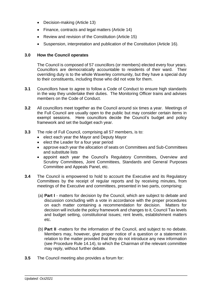- Decision-making (Article 13)
- Finance, contracts and legal matters (Article 14)
- Review and revision of the Constitution (Article 15)
- Suspension, interpretation and publication of the Constitution (Article 16).

## **3.0 How the Council operates**

The Council is composed of 57 councillors (or members) elected every four years. Councillors are democratically accountable to residents of their ward. Their overriding duty is to the whole Waverley community, but they have a special duty to their constituents, including those who did not vote for them.

- **3.1** Councillors have to agree to follow a Code of Conduct to ensure high standards in the way they undertake their duties. The Monitoring Officer trains and advises members on the Code of Conduct.
- **3.2** All councillors meet together as the Council around six times a year. Meetings of the Full Council are usually open to the public but may consider certain items in exempt sessions. Here councillors decide the Council's budget and policy framework and set the budget each year.
- **3.3** The role of Full Council, comprising all 57 members, is to:
	- elect each year the Mayor and Deputy Mayor
	- elect the Leader for a four year period
	- approve each year the allocation of seats on Committees and Sub-Committees and substitute lists
	- appoint each year the Council's Regulatory Committees, Overview and Scrutiny Committees, Joint Committees, Standards and General Purposes Committee and Appeals Panel, etc.
- **3.4** The Council is empowered to hold to account the Executive and its Regulatory Committees by the receipt of regular reports and by receiving minutes, from meetings of the Executive and committees, presented in two parts, comprising:
	- (a) **Part I** matters for decision by the Council, which are subject to debate and discussion concluding with a vote in accordance with the proper procedures on each matter containing a recommendation for decision. Matters for decision will include the policy framework and changes to it, Council Tax levels and budget setting, constitutional issues; rent levels, establishment matters etc.
	- (b) **Part II** -matters for the information of the Council, and subject to no debate. Members may, however, give proper notice of a question or a statement in relation to the matter provided that they do not introduce any new information (see Procedure Rule 14.14), to which the Chairman of the relevant committee may reply, without further debate.
- **3.5** The Council meeting also provides a forum for: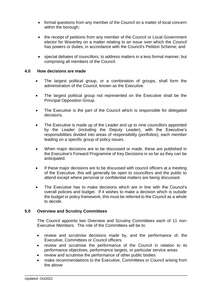- formal questions from any member of the Council on a matter of local concern within the borough;
- the receipt of petitions from any member of the Council or Local Government elector for Waverley on a matter relating to an issue over which the Council has powers or duties, in accordance with the Council's Petition Scheme; and
- special debates of councillors, to address matters in a less formal manner, but comprising all members of the Council.

## **4.0 How decisions are made**

- The largest political group, or a combination of groups, shall form the administration of the Council, known as the Executive.
- The largest political group not represented on the Executive shall be the Principal Opposition Group.
- The Executive is the part of the Council which is responsible for delegated decisions.
- The Executive is made up of the Leader and up to nine councillors appointed by the Leader (including the Deputy Leader), with the Executive's responsibilities divided into areas of responsibility (portfolios), each member leading on a specific group of policy issues.
- When major decisions are to be discussed or made, these are published in the Executive's Forward Programme of Key Decisions in so far as they can be anticipated.
- If these major decisions are to be discussed with council officers at a meeting of the Executive, this will generally be open to councillors and the public to attend except where personal or confidential matters are being discussed.
- The Executive has to make decisions which are in line with the Council's overall policies and budget. If it wishes to make a decision which is outside the budget or policy framework, this must be referred to the Council as a whole to decide.

## **5.0 Overview and Scrutiny Committees**

The Council appoints two Overview and Scrutiny Committees each of 11 non-Executive Members. The role of the Committees will be to:

- review and scrutinise decisions made by, and the performance of, the Executive, Committees or Council officers
- review and scrutinise the performance of the Council in relation to its performance objectives, performance targets, or particular service areas
- review and scrutinise the performance of other public bodies
- make recommendations to the Executive, Committees or Council arising from the above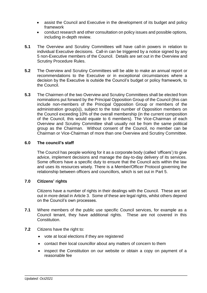- assist the Council and Executive in the development of its budget and policy framework
- conduct research and other consultation on policy issues and possible options, including in-depth review.
- **5.1** The Overview and Scrutiny Committees will have call-in powers in relation to individual Executive decisions. Call-in can be triggered by a notice signed by any 5 non-Executive members of the Council. Details are set out in the Overview and Scrutiny Procedure Rules.
- **5.2** The Overview and Scrutiny Committees will be able to make an annual report or recommendations to the Executive or in exceptional circumstances where a decision by the Executive is outside the Council's budget or policy framework, to the Council.
- **5.3** The Chairmen of the two Overview and Scrutiny Committees shall be elected from nominations put forward by the Principal Opposition Group of the Council (this can include non-members of the Principal Opposition Group or members of the administration group(s)), subject to the total number of Opposition members on the Council exceeding 10% of the overall membership (in the current composition of the Council, this would equate to 6 members). The Vice-Chairman of each Overview and Scrutiny Committee shall usually not be from the same political group as the Chairman. Without consent of the Council, no member can be Chairman or Vice-Chairman of more than one Overview and Scrutiny Committee.

## **6.0 The council's staff**

The Council has people working for it as a corporate body (called 'officers') to give advice, implement decisions and manage the day-to-day delivery of its services. Some officers have a specific duty to ensure that the Council acts within the law and uses its resources wisely. There is a Member/Officer Protocol governing the relationship between officers and councillors, which is set out in Part 5.

## **7.0 Citizens' rights**

Citizens have a number of rights in their dealings with the Council. These are set out in more detail in Article 3. Some of these are legal rights, whilst others depend on the Council's own processes.

- **7.1** Where members of the public use specific Council services, for example as a Council tenant, they have additional rights. These are not covered in this Constitution.
- **7.2** Citizens have the right to:
	- vote at local elections if they are registered
	- contact their local councillor about any matters of concern to them
	- inspect the Constitution on our website or obtain a copy on payment of a reasonable fee